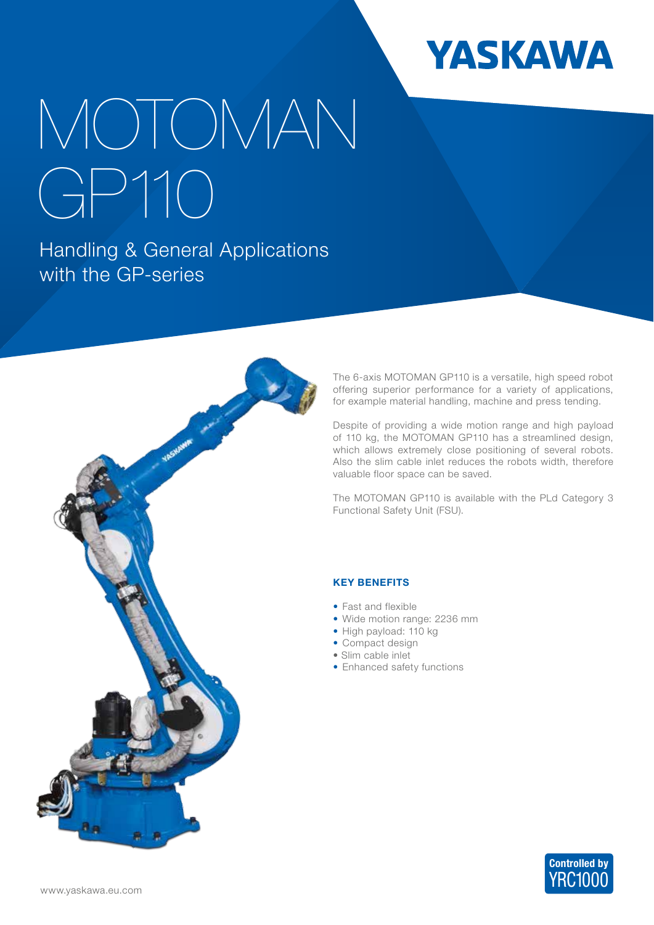

## MOTOMAN GP110

Handling & General Applications with the GP-series



The 6-axis MOTOMAN GP110 is a versatile, high speed robot offering superior performance for a variety of applications, for example material handling, machine and press tending.

Despite of providing a wide motion range and high payload of 110 kg, the MOTOMAN GP110 has a streamlined design, which allows extremely close positioning of several robots. Also the slim cable inlet reduces the robots width, therefore valuable floor space can be saved.

The MOTOMAN GP110 is available with the PLd Category 3 Functional Safety Unit (FSU).

## KEY BENEFITS

- Fast and flexible
- Wide motion range: 2236 mm
- High payload: 110 kg
- Compact design
- Slim cable inlet
- Enhanced safety functions